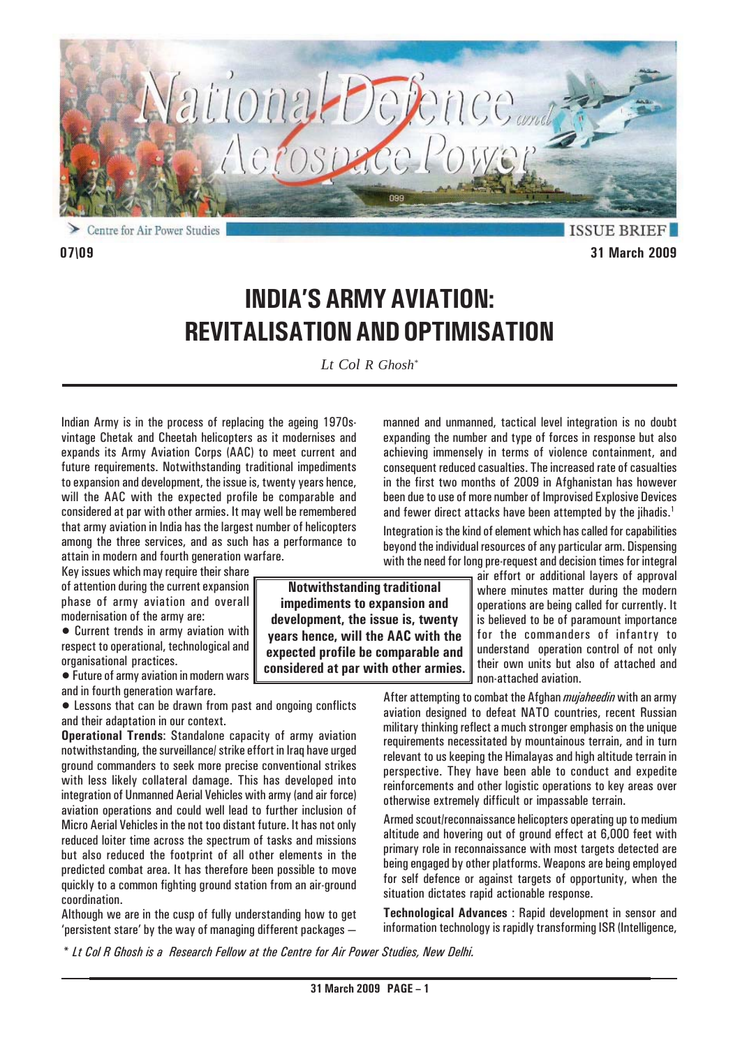

**ISSUE BRIEF 07\09 31 March 2009**

# **INDIA'S ARMY AVIATION: REVITALISATION AND OPTIMISATION**

*Lt Col R Ghosh\**

Indian Army is in the process of replacing the ageing 1970svintage Chetak and Cheetah helicopters as it modernises and expands its Army Aviation Corps (AAC) to meet current and future requirements. Notwithstanding traditional impediments to expansion and development, the issue is, twenty years hence, will the AAC with the expected profile be comparable and considered at par with other armies. It may well be remembered that army aviation in India has the largest number of helicopters among the three services, and as such has a performance to attain in modern and fourth generation warfare.

Key issues which may require their share of attention during the current expansion phase of army aviation and overall modernisation of the army are:

• Current trends in army aviation with respect to operational, technological and organisational practices.

• Future of army aviation in modern wars and in fourth generation warfare.

• Lessons that can be drawn from past and ongoing conflicts and their adaptation in our context.

**Operational Trends**: Standalone capacity of army aviation notwithstanding, the surveillance/ strike effort in Iraq have urged ground commanders to seek more precise conventional strikes with less likely collateral damage. This has developed into integration of Unmanned Aerial Vehicles with army (and air force) aviation operations and could well lead to further inclusion of Micro Aerial Vehicles in the not too distant future. It has not only reduced loiter time across the spectrum of tasks and missions but also reduced the footprint of all other elements in the predicted combat area. It has therefore been possible to move quickly to a common fighting ground station from an air-ground coordination.

Although we are in the cusp of fully understanding how to get 'persistent stare' by the way of managing different packages —

**Notwithstanding traditional impediments to expansion and development, the issue is, twenty years hence, will the AAC with the expected profile be comparable and considered at par with other armies.**

manned and unmanned, tactical level integration is no doubt expanding the number and type of forces in response but also achieving immensely in terms of violence containment, and consequent reduced casualties. The increased rate of casualties in the first two months of 2009 in Afghanistan has however been due to use of more number of Improvised Explosive Devices and fewer direct attacks have been attempted by the jihadis.<sup>1</sup>

Integration is the kind of element which has called for capabilities beyond the individual resources of any particular arm. Dispensing with the need for long pre-request and decision times for integral

> air effort or additional layers of approval where minutes matter during the modern operations are being called for currently. It is believed to be of paramount importance for the commanders of infantry to understand operation control of not only their own units but also of attached and non-attached aviation.

After attempting to combat the Afghan *mujaheedin* with an army aviation designed to defeat NATO countries, recent Russian military thinking reflect a much stronger emphasis on the unique requirements necessitated by mountainous terrain, and in turn relevant to us keeping the Himalayas and high altitude terrain in perspective. They have been able to conduct and expedite reinforcements and other logistic operations to key areas over otherwise extremely difficult or impassable terrain.

Armed scout/reconnaissance helicopters operating up to medium altitude and hovering out of ground effect at 6,000 feet with primary role in reconnaissance with most targets detected are being engaged by other platforms. Weapons are being employed for self defence or against targets of opportunity, when the situation dictates rapid actionable response.

**Technological Advances** : Rapid development in sensor and information technology is rapidly transforming ISR (Intelligence,

*\* Lt Col R Ghosh is a Research Fellow at the Centre for Air Power Studies, New Delhi.*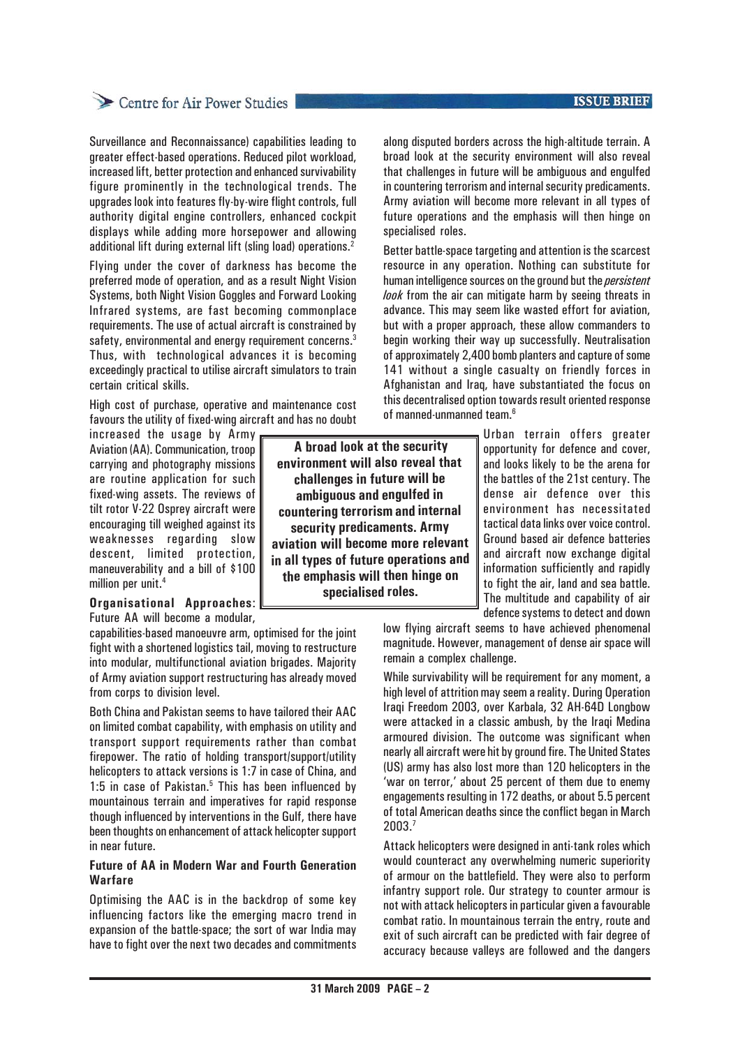Surveillance and Reconnaissance) capabilities leading to greater effect-based operations. Reduced pilot workload, increased lift, better protection and enhanced survivability figure prominently in the technological trends. The upgrades look into features fly-by-wire flight controls, full authority digital engine controllers, enhanced cockpit displays while adding more horsepower and allowing additional lift during external lift (sling load) operations.<sup>2</sup>

Flying under the cover of darkness has become the preferred mode of operation, and as a result Night Vision Systems, both Night Vision Goggles and Forward Looking Infrared systems, are fast becoming commonplace requirements. The use of actual aircraft is constrained by safety, environmental and energy requirement concerns.<sup>3</sup> Thus, with technological advances it is becoming exceedingly practical to utilise aircraft simulators to train certain critical skills.

High cost of purchase, operative and maintenance cost favours the utility of fixed-wing aircraft and has no doubt

increased the usage by Army Aviation (AA). Communication, troop carrying and photography missions are routine application for such fixed-wing assets. The reviews of tilt rotor V-22 Osprey aircraft were encouraging till weighed against its weaknesses regarding slow descent, limited protection, maneuverability and a bill of \$100 million per unit.<sup>4</sup>

**Organisational Approaches**: Future AA will become a modular,

capabilities-based manoeuvre arm, optimised for the joint fight with a shortened logistics tail, moving to restructure into modular, multifunctional aviation brigades. Majority of Army aviation support restructuring has already moved from corps to division level.

Both China and Pakistan seems to have tailored their AAC on limited combat capability, with emphasis on utility and transport support requirements rather than combat firepower. The ratio of holding transport/support/utility helicopters to attack versions is 1:7 in case of China, and 1:5 in case of Pakistan.<sup>5</sup> This has been influenced by mountainous terrain and imperatives for rapid response though influenced by interventions in the Gulf, there have been thoughts on enhancement of attack helicopter support in near future.

#### **Future of AA in Modern War and Fourth Generation Warfare**

Optimising the AAC is in the backdrop of some key influencing factors like the emerging macro trend in expansion of the battle-space; the sort of war India may have to fight over the next two decades and commitments

 **A broad look at the security environment will also reveal that challenges in future will be ambiguous and engulfed in countering terrorism and internal security predicaments. Army aviation will become more relevant in all types of future operations and the emphasis will then hinge on specialised roles.**

along disputed borders across the high-altitude terrain. A broad look at the security environment will also reveal that challenges in future will be ambiguous and engulfed in countering terrorism and internal security predicaments. Army aviation will become more relevant in all types of future operations and the emphasis will then hinge on specialised roles.

Better battle-space targeting and attention is the scarcest resource in any operation. Nothing can substitute for human intelligence sources on the ground but the *persistent look* from the air can mitigate harm by seeing threats in advance. This may seem like wasted effort for aviation, but with a proper approach, these allow commanders to begin working their way up successfully. Neutralisation of approximately 2,400 bomb planters and capture of some 141 without a single casualty on friendly forces in Afghanistan and Iraq, have substantiated the focus on this decentralised option towards result oriented response of manned-unmanned team.6

> Urban terrain offers greater opportunity for defence and cover, and looks likely to be the arena for the battles of the 21st century. The dense air defence over this environment has necessitated tactical data links over voice control. Ground based air defence batteries and aircraft now exchange digital information sufficiently and rapidly to fight the air, land and sea battle. The multitude and capability of air defence systems to detect and down

low flying aircraft seems to have achieved phenomenal magnitude. However, management of dense air space will remain a complex challenge.

While survivability will be requirement for any moment, a high level of attrition may seem a reality. During Operation Iraqi Freedom 2003, over Karbala, 32 AH-64D Longbow were attacked in a classic ambush, by the Iraqi Medina armoured division. The outcome was significant when nearly all aircraft were hit by ground fire. The United States (US) army has also lost more than 120 helicopters in the 'war on terror,' about 25 percent of them due to enemy engagements resulting in 172 deaths, or about 5.5 percent of total American deaths since the conflict began in March 2003.7

Attack helicopters were designed in anti-tank roles which would counteract any overwhelming numeric superiority of armour on the battlefield. They were also to perform infantry support role. Our strategy to counter armour is not with attack helicopters in particular given a favourable combat ratio. In mountainous terrain the entry, route and exit of such aircraft can be predicted with fair degree of accuracy because valleys are followed and the dangers

### **ISSUE BRIEF**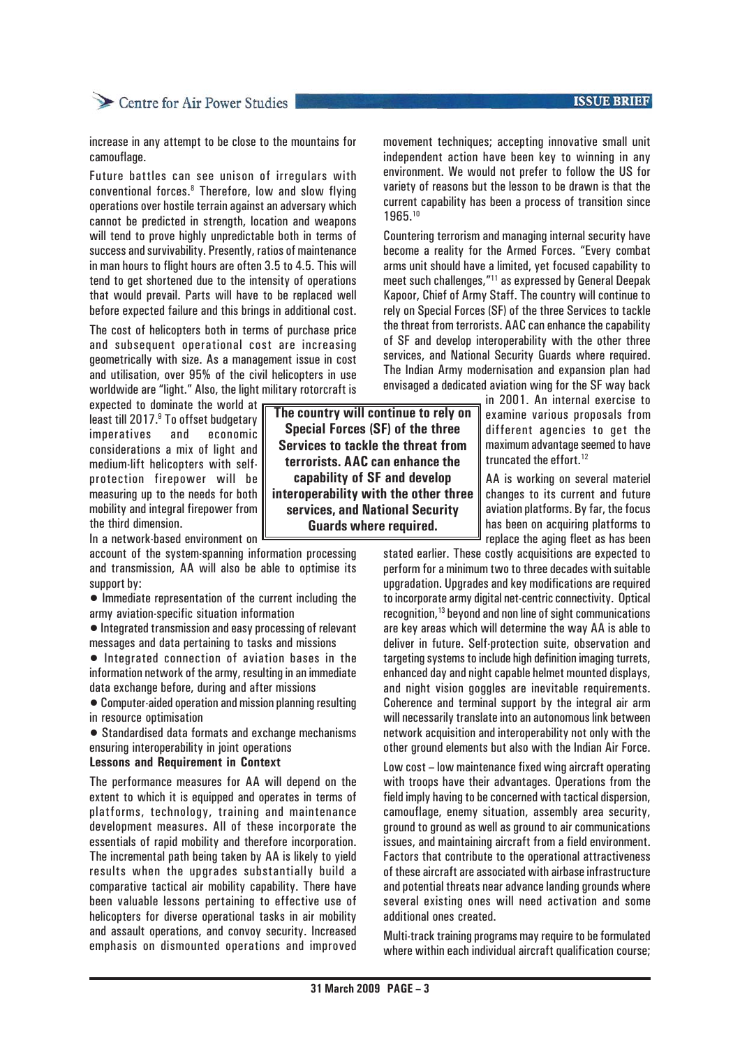increase in any attempt to be close to the mountains for camouflage.

Future battles can see unison of irregulars with conventional forces.<sup>8</sup> Therefore, low and slow flying operations over hostile terrain against an adversary which cannot be predicted in strength, location and weapons will tend to prove highly unpredictable both in terms of success and survivability. Presently, ratios of maintenance in man hours to flight hours are often 3.5 to 4.5. This will tend to get shortened due to the intensity of operations that would prevail. Parts will have to be replaced well before expected failure and this brings in additional cost.

The cost of helicopters both in terms of purchase price and subsequent operational cost are increasing geometrically with size. As a management issue in cost and utilisation, over 95% of the civil helicopters in use worldwide are "light." Also, the light military rotorcraft is

expected to dominate the world at least till 2017.<sup>9</sup> To offset budgetary imperatives and economic considerations a mix of light and medium-lift helicopters with selfprotection firepower will be measuring up to the needs for both mobility and integral firepower from the third dimension.

In a network-based environment on

account of the system-spanning information processing and transmission, AA will also be able to optimise its support by:

- Immediate representation of the current including the army aviation-specific situation information
- Integrated transmission and easy processing of relevant messages and data pertaining to tasks and missions
- Integrated connection of aviation bases in the information network of the army, resulting in an immediate data exchange before, during and after missions
- Computer-aided operation and mission planning resulting in resource optimisation

• Standardised data formats and exchange mechanisms ensuring interoperability in joint operations

#### **Lessons and Requirement in Context**

The performance measures for AA will depend on the extent to which it is equipped and operates in terms of platforms, technology, training and maintenance development measures. All of these incorporate the essentials of rapid mobility and therefore incorporation. The incremental path being taken by AA is likely to yield results when the upgrades substantially build a comparative tactical air mobility capability. There have been valuable lessons pertaining to effective use of helicopters for diverse operational tasks in air mobility and assault operations, and convoy security. Increased emphasis on dismounted operations and improved movement techniques; accepting innovative small unit independent action have been key to winning in any environment. We would not prefer to follow the US for variety of reasons but the lesson to be drawn is that the current capability has been a process of transition since 1965.10

Countering terrorism and managing internal security have become a reality for the Armed Forces. "Every combat arms unit should have a limited, yet focused capability to meet such challenges,"11 as expressed by General Deepak Kapoor, Chief of Army Staff. The country will continue to rely on Special Forces (SF) of the three Services to tackle the threat from terrorists. AAC can enhance the capability of SF and develop interoperability with the other three services, and National Security Guards where required. The Indian Army modernisation and expansion plan had envisaged a dedicated aviation wing for the SF way back

> in 2001. An internal exercise to examine various proposals from different agencies to get the maximum advantage seemed to have truncated the effort.<sup>12</sup>

> AA is working on several materiel changes to its current and future aviation platforms. By far, the focus has been on acquiring platforms to replace the aging fleet as has been

stated earlier. These costly acquisitions are expected to perform for a minimum two to three decades with suitable upgradation. Upgrades and key modifications are required to incorporate army digital net-centric connectivity. Optical recognition,13 beyond and non line of sight communications are key areas which will determine the way AA is able to deliver in future. Self-protection suite, observation and targeting systems to include high definition imaging turrets, enhanced day and night capable helmet mounted displays, and night vision goggles are inevitable requirements. Coherence and terminal support by the integral air arm will necessarily translate into an autonomous link between network acquisition and interoperability not only with the other ground elements but also with the Indian Air Force.

Low cost – low maintenance fixed wing aircraft operating with troops have their advantages. Operations from the field imply having to be concerned with tactical dispersion, camouflage, enemy situation, assembly area security, ground to ground as well as ground to air communications issues, and maintaining aircraft from a field environment. Factors that contribute to the operational attractiveness of these aircraft are associated with airbase infrastructure and potential threats near advance landing grounds where several existing ones will need activation and some additional ones created.

Multi-track training programs may require to be formulated where within each individual aircraft qualification course;

#### **ISSUE BRIEF**

**The country will continue to rely on Special Forces (SF) of the three Services to tackle the threat from terrorists. AAC can enhance the capability of SF and develop interoperability with the other three services, and National Security Guards where required.**